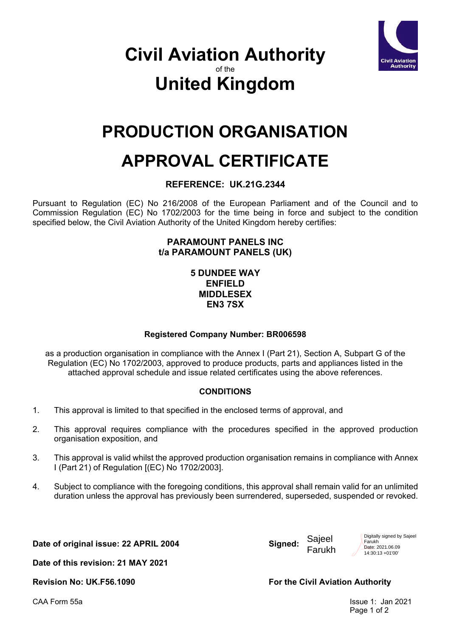

### **Civil Aviation Authority** of the **United Kingdom**

## **PRODUCTION ORGANISATION**

# **APPROVAL CERTIFICATE**

#### **REFERENCE: UK.21G.2344**

Pursuant to Regulation (EC) No 216/2008 of the European Parliament and of the Council and to Commission Regulation (EC) No 1702/2003 for the time being in force and subject to the condition specified below, the Civil Aviation Authority of the United Kingdom hereby certifies:

#### **PARAMOUNT PANELS INC t/a PARAMOUNT PANELS (UK)**

#### **5 DUNDEE WAY ENFIELD MIDDLESEX EN3 7SX**

#### **Registered Company Number: BR006598**

as a production organisation in compliance with the Annex I (Part 21), Section A, Subpart G of the Regulation (EC) No 1702/2003, approved to produce products, parts and appliances listed in the attached approval schedule and issue related certificates using the above references.

#### **CONDITIONS**

- 1. This approval is limited to that specified in the enclosed terms of approval, and
- 2. This approval requires compliance with the procedures specified in the approved production organisation exposition, and
- 3. This approval is valid whilst the approved production organisation remains in compliance with Annex I (Part 21) of Regulation [(EC) No 1702/2003].
- 4. Subject to compliance with the foregoing conditions, this approval shall remain valid for an unlimited duration unless the approval has previously been surrendered, superseded, suspended or revoked.

**Date of original issue: 22 APRIL 2004 Signed:**

Sajeel Farukh Digitally signed by Sajeel Farukh Date: 2021.06.09 14:30:13 +01'00'

**Date of this revision: 21 MAY 2021**

Revision No: UK.F56.1090 **For the Civil Aviation Authority** 

CAA Form 55a Issue 1: Jan 2021 Page 1 of 2